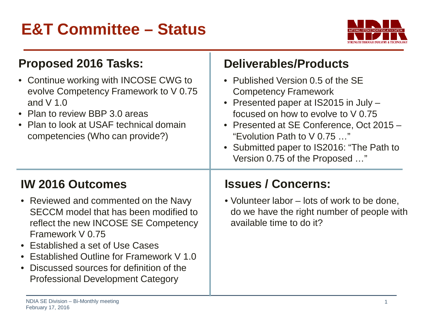## **E&T Committee – Status**



| <b>Proposed 2016 Tasks:</b><br>• Continue working with INCOSE CWG to<br>evolve Competency Framework to V 0.75<br>and $V$ 1.0<br>• Plan to review BBP 3.0 areas<br>• Plan to look at USAF technical domain<br>competencies (Who can provide?)                                                                                                 | <b>Deliverables/Products</b><br>• Published Version 0.5 of the SE<br><b>Competency Framework</b><br>• Presented paper at IS2015 in July -<br>focused on how to evolve to V 0.75<br>• Presented at SE Conference, Oct 2015 -<br>"Evolution Path to V 0.75 "<br>• Submitted paper to IS2016: "The Path to<br>Version 0.75 of the Proposed " |
|----------------------------------------------------------------------------------------------------------------------------------------------------------------------------------------------------------------------------------------------------------------------------------------------------------------------------------------------|-------------------------------------------------------------------------------------------------------------------------------------------------------------------------------------------------------------------------------------------------------------------------------------------------------------------------------------------|
| <b>IW 2016 Outcomes</b><br>• Reviewed and commented on the Navy<br>SECCM model that has been modified to<br>reflect the new INCOSE SE Competency<br>Framework V 0.75<br>• Established a set of Use Cases<br>• Established Outline for Framework V 1.0<br>Discussed sources for definition of the<br><b>Professional Development Category</b> | <b>Issues / Concerns:</b><br>• Volunteer labor – lots of work to be done,<br>do we have the right number of people with<br>available time to do it?                                                                                                                                                                                       |